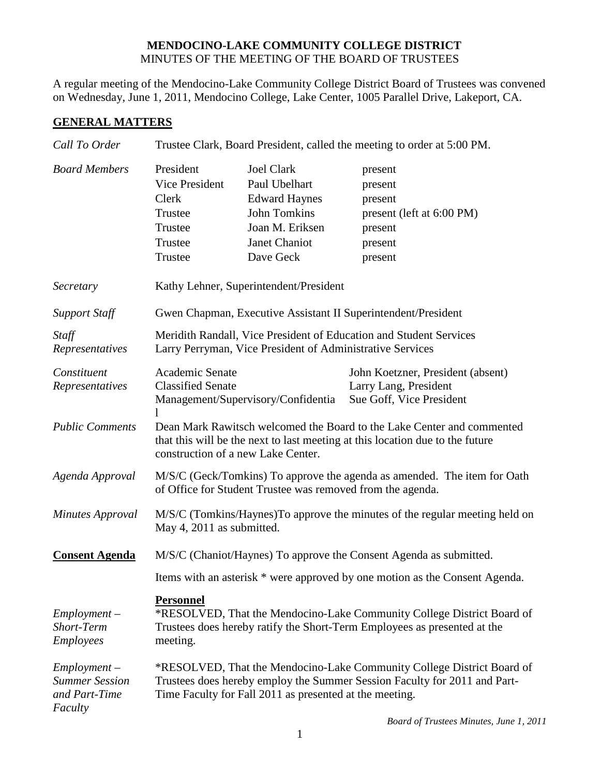## **MENDOCINO-LAKE COMMUNITY COLLEGE DISTRICT** MINUTES OF THE MEETING OF THE BOARD OF TRUSTEES

A regular meeting of the Mendocino-Lake Community College District Board of Trustees was convened on Wednesday, June 1, 2011, Mendocino College, Lake Center, 1005 Parallel Drive, Lakeport, CA.

# **GENERAL MATTERS**

| Call To Order                                                       | Trustee Clark, Board President, called the meeting to order at 5:00 PM.                                                                                                                                        |                                                                                                                                    |                                                                                             |  |
|---------------------------------------------------------------------|----------------------------------------------------------------------------------------------------------------------------------------------------------------------------------------------------------------|------------------------------------------------------------------------------------------------------------------------------------|---------------------------------------------------------------------------------------------|--|
| <b>Board Members</b>                                                | President<br>Vice President<br>Clerk<br>Trustee<br>Trustee<br>Trustee<br>Trustee                                                                                                                               | <b>Joel Clark</b><br>Paul Ubelhart<br><b>Edward Haynes</b><br><b>John Tomkins</b><br>Joan M. Eriksen<br>Janet Chaniot<br>Dave Geck | present<br>present<br>present<br>present (left at 6:00 PM)<br>present<br>present<br>present |  |
| Secretary                                                           | Kathy Lehner, Superintendent/President                                                                                                                                                                         |                                                                                                                                    |                                                                                             |  |
| <b>Support Staff</b>                                                | Gwen Chapman, Executive Assistant II Superintendent/President                                                                                                                                                  |                                                                                                                                    |                                                                                             |  |
| Staff<br>Representatives                                            | Meridith Randall, Vice President of Education and Student Services<br>Larry Perryman, Vice President of Administrative Services                                                                                |                                                                                                                                    |                                                                                             |  |
| Constituent<br>Representatives                                      | Academic Senate<br><b>Classified Senate</b>                                                                                                                                                                    | Management/Supervisory/Confidentia                                                                                                 | John Koetzner, President (absent)<br>Larry Lang, President<br>Sue Goff, Vice President      |  |
| <b>Public Comments</b>                                              | Dean Mark Rawitsch welcomed the Board to the Lake Center and commented<br>that this will be the next to last meeting at this location due to the future<br>construction of a new Lake Center.                  |                                                                                                                                    |                                                                                             |  |
| Agenda Approval                                                     | M/S/C (Geck/Tomkins) To approve the agenda as amended. The item for Oath<br>of Office for Student Trustee was removed from the agenda.                                                                         |                                                                                                                                    |                                                                                             |  |
| <b>Minutes Approval</b>                                             | M/S/C (Tomkins/Haynes) To approve the minutes of the regular meeting held on<br>May 4, 2011 as submitted.                                                                                                      |                                                                                                                                    |                                                                                             |  |
| <b>Consent Agenda</b>                                               | M/S/C (Chaniot/Haynes) To approve the Consent Agenda as submitted.<br>Items with an asterisk * were approved by one motion as the Consent Agenda.                                                              |                                                                                                                                    |                                                                                             |  |
|                                                                     |                                                                                                                                                                                                                |                                                                                                                                    |                                                                                             |  |
| $Employment -$<br>Short-Term<br><b>Employees</b>                    | <b>Personnel</b><br>*RESOLVED, That the Mendocino-Lake Community College District Board of<br>Trustees does hereby ratify the Short-Term Employees as presented at the<br>meeting.                             |                                                                                                                                    |                                                                                             |  |
| $Employment -$<br><b>Summer Session</b><br>and Part-Time<br>Faculty | *RESOLVED, That the Mendocino-Lake Community College District Board of<br>Trustees does hereby employ the Summer Session Faculty for 2011 and Part-<br>Time Faculty for Fall 2011 as presented at the meeting. |                                                                                                                                    |                                                                                             |  |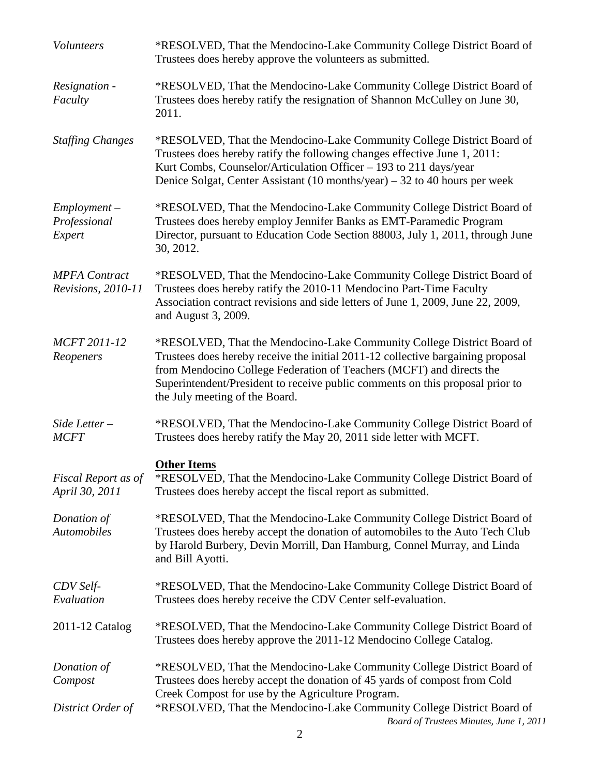| Volunteers                                 | *RESOLVED, That the Mendocino-Lake Community College District Board of<br>Trustees does hereby approve the volunteers as submitted.                                                                                                                                                                                                                  |  |
|--------------------------------------------|------------------------------------------------------------------------------------------------------------------------------------------------------------------------------------------------------------------------------------------------------------------------------------------------------------------------------------------------------|--|
| Resignation -<br>Faculty                   | *RESOLVED, That the Mendocino-Lake Community College District Board of<br>Trustees does hereby ratify the resignation of Shannon McCulley on June 30,<br>2011.                                                                                                                                                                                       |  |
| <b>Staffing Changes</b>                    | *RESOLVED, That the Mendocino-Lake Community College District Board of<br>Trustees does hereby ratify the following changes effective June 1, 2011:<br>Kurt Combs, Counselor/Articulation Officer - 193 to 211 days/year<br>Denice Solgat, Center Assistant $(10$ months/year) – 32 to 40 hours per week                                             |  |
| $Employment -$<br>Professional<br>Expert   | *RESOLVED, That the Mendocino-Lake Community College District Board of<br>Trustees does hereby employ Jennifer Banks as EMT-Paramedic Program<br>Director, pursuant to Education Code Section 88003, July 1, 2011, through June<br>30, 2012.                                                                                                         |  |
| <b>MPFA</b> Contract<br>Revisions, 2010-11 | *RESOLVED, That the Mendocino-Lake Community College District Board of<br>Trustees does hereby ratify the 2010-11 Mendocino Part-Time Faculty<br>Association contract revisions and side letters of June 1, 2009, June 22, 2009,<br>and August 3, 2009.                                                                                              |  |
| MCFT 2011-12<br>Reopeners                  | *RESOLVED, That the Mendocino-Lake Community College District Board of<br>Trustees does hereby receive the initial 2011-12 collective bargaining proposal<br>from Mendocino College Federation of Teachers (MCFT) and directs the<br>Superintendent/President to receive public comments on this proposal prior to<br>the July meeting of the Board. |  |
| Side Letter $-$<br><b>MCFT</b>             | *RESOLVED, That the Mendocino-Lake Community College District Board of<br>Trustees does hereby ratify the May 20, 2011 side letter with MCFT.                                                                                                                                                                                                        |  |
|                                            | <b>Other Items</b>                                                                                                                                                                                                                                                                                                                                   |  |
| Fiscal Report as of<br>April 30, 2011      | *RESOLVED, That the Mendocino-Lake Community College District Board of<br>Trustees does hereby accept the fiscal report as submitted.                                                                                                                                                                                                                |  |
| Donation of<br><b>Automobiles</b>          | *RESOLVED, That the Mendocino-Lake Community College District Board of<br>Trustees does hereby accept the donation of automobiles to the Auto Tech Club<br>by Harold Burbery, Devin Morrill, Dan Hamburg, Connel Murray, and Linda<br>and Bill Ayotti.                                                                                               |  |
| CDV Self-<br>Evaluation                    | *RESOLVED, That the Mendocino-Lake Community College District Board of<br>Trustees does hereby receive the CDV Center self-evaluation.                                                                                                                                                                                                               |  |
| 2011-12 Catalog                            | *RESOLVED, That the Mendocino-Lake Community College District Board of<br>Trustees does hereby approve the 2011-12 Mendocino College Catalog.                                                                                                                                                                                                        |  |
| Donation of<br>Compost                     | *RESOLVED, That the Mendocino-Lake Community College District Board of<br>Trustees does hereby accept the donation of 45 yards of compost from Cold                                                                                                                                                                                                  |  |
| District Order of                          | Creek Compost for use by the Agriculture Program.<br>*RESOLVED, That the Mendocino-Lake Community College District Board of<br>Board of Trustees Minutes, June 1, 2011                                                                                                                                                                               |  |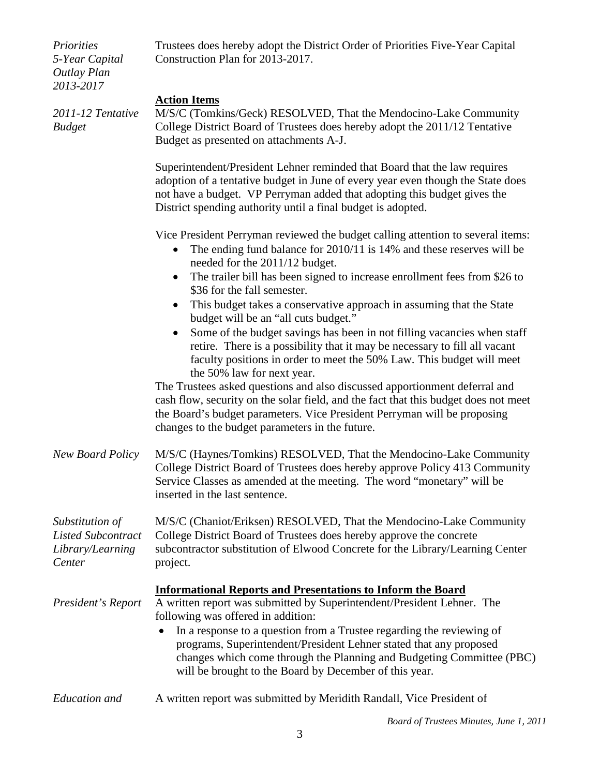| <i>Priorities</i><br>5-Year Capital<br><b>Outlay Plan</b><br>2013-2017     | Trustees does hereby adopt the District Order of Priorities Five-Year Capital<br>Construction Plan for 2013-2017.                                                                                                                                                                                        |  |
|----------------------------------------------------------------------------|----------------------------------------------------------------------------------------------------------------------------------------------------------------------------------------------------------------------------------------------------------------------------------------------------------|--|
| 2011-12 Tentative<br><b>Budget</b>                                         | <b>Action Items</b><br>M/S/C (Tomkins/Geck) RESOLVED, That the Mendocino-Lake Community<br>College District Board of Trustees does hereby adopt the 2011/12 Tentative<br>Budget as presented on attachments A-J.                                                                                         |  |
|                                                                            | Superintendent/President Lehner reminded that Board that the law requires<br>adoption of a tentative budget in June of every year even though the State does<br>not have a budget. VP Perryman added that adopting this budget gives the<br>District spending authority until a final budget is adopted. |  |
|                                                                            | Vice President Perryman reviewed the budget calling attention to several items:<br>The ending fund balance for 2010/11 is 14% and these reserves will be<br>$\bullet$<br>needed for the 2011/12 budget.<br>The trailer bill has been signed to increase enrollment fees from \$26 to                     |  |
|                                                                            | \$36 for the fall semester.<br>This budget takes a conservative approach in assuming that the State                                                                                                                                                                                                      |  |
|                                                                            | budget will be an "all cuts budget."                                                                                                                                                                                                                                                                     |  |
|                                                                            | Some of the budget savings has been in not filling vacancies when staff<br>retire. There is a possibility that it may be necessary to fill all vacant<br>faculty positions in order to meet the 50% Law. This budget will meet<br>the 50% law for next year.                                             |  |
|                                                                            | The Trustees asked questions and also discussed apportionment deferral and<br>cash flow, security on the solar field, and the fact that this budget does not meet<br>the Board's budget parameters. Vice President Perryman will be proposing<br>changes to the budget parameters in the future.         |  |
| <b>New Board Policy</b>                                                    | M/S/C (Haynes/Tomkins) RESOLVED, That the Mendocino-Lake Community<br>College District Board of Trustees does hereby approve Policy 413 Community<br>Service Classes as amended at the meeting. The word "monetary" will be<br>inserted in the last sentence.                                            |  |
| Substitution of<br><b>Listed Subcontract</b><br>Library/Learning<br>Center | M/S/C (Chaniot/Eriksen) RESOLVED, That the Mendocino-Lake Community<br>College District Board of Trustees does hereby approve the concrete<br>subcontractor substitution of Elwood Concrete for the Library/Learning Center<br>project.                                                                  |  |
|                                                                            | <b>Informational Reports and Presentations to Inform the Board</b>                                                                                                                                                                                                                                       |  |
| President's Report                                                         | A written report was submitted by Superintendent/President Lehner. The<br>following was offered in addition:                                                                                                                                                                                             |  |
|                                                                            | In a response to a question from a Trustee regarding the reviewing of<br>programs, Superintendent/President Lehner stated that any proposed<br>changes which come through the Planning and Budgeting Committee (PBC)<br>will be brought to the Board by December of this year.                           |  |
| Education and                                                              | A written report was submitted by Meridith Randall, Vice President of                                                                                                                                                                                                                                    |  |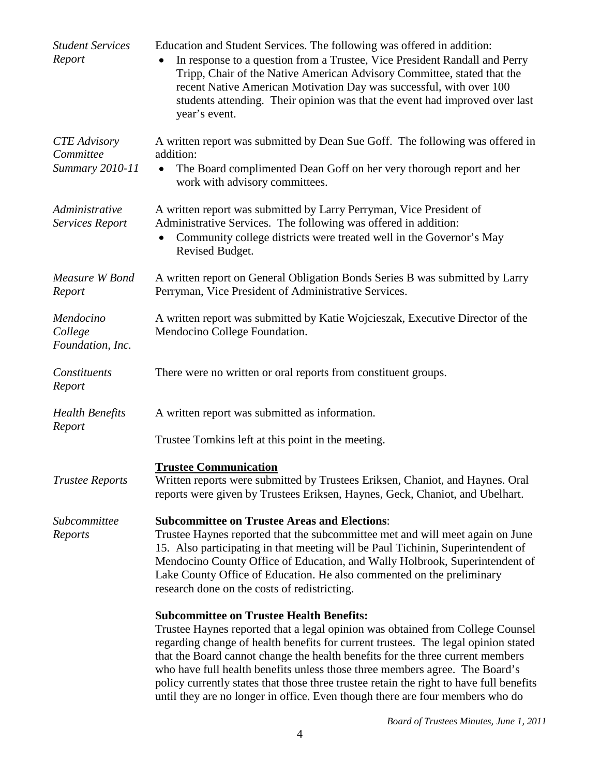| <b>Student Services</b><br>Report                   | Education and Student Services. The following was offered in addition:<br>In response to a question from a Trustee, Vice President Randall and Perry<br>Tripp, Chair of the Native American Advisory Committee, stated that the<br>recent Native American Motivation Day was successful, with over 100<br>students attending. Their opinion was that the event had improved over last<br>year's event.                                                                                                                                                               |
|-----------------------------------------------------|----------------------------------------------------------------------------------------------------------------------------------------------------------------------------------------------------------------------------------------------------------------------------------------------------------------------------------------------------------------------------------------------------------------------------------------------------------------------------------------------------------------------------------------------------------------------|
| <b>CTE</b> Advisory<br>Committee<br>Summary 2010-11 | A written report was submitted by Dean Sue Goff. The following was offered in<br>addition:<br>The Board complimented Dean Goff on her very thorough report and her<br>$\bullet$<br>work with advisory committees.                                                                                                                                                                                                                                                                                                                                                    |
| Administrative<br>Services Report                   | A written report was submitted by Larry Perryman, Vice President of<br>Administrative Services. The following was offered in addition:<br>Community college districts were treated well in the Governor's May<br>Revised Budget.                                                                                                                                                                                                                                                                                                                                     |
| Measure W Bond<br>Report                            | A written report on General Obligation Bonds Series B was submitted by Larry<br>Perryman, Vice President of Administrative Services.                                                                                                                                                                                                                                                                                                                                                                                                                                 |
| Mendocino<br>College<br>Foundation, Inc.            | A written report was submitted by Katie Wojcieszak, Executive Director of the<br>Mendocino College Foundation.                                                                                                                                                                                                                                                                                                                                                                                                                                                       |
| Constituents<br>Report                              | There were no written or oral reports from constituent groups.                                                                                                                                                                                                                                                                                                                                                                                                                                                                                                       |
| <b>Health Benefits</b><br>Report                    | A written report was submitted as information.                                                                                                                                                                                                                                                                                                                                                                                                                                                                                                                       |
|                                                     | Trustee Tomkins left at this point in the meeting.                                                                                                                                                                                                                                                                                                                                                                                                                                                                                                                   |
| <b>Trustee Reports</b>                              | <b>Trustee Communication</b><br>Written reports were submitted by Trustees Eriksen, Chaniot, and Haynes. Oral<br>reports were given by Trustees Eriksen, Haynes, Geck, Chaniot, and Ubelhart.                                                                                                                                                                                                                                                                                                                                                                        |
| Subcommittee<br>Reports                             | <b>Subcommittee on Trustee Areas and Elections:</b><br>Trustee Haynes reported that the subcommittee met and will meet again on June<br>15. Also participating in that meeting will be Paul Tichinin, Superintendent of<br>Mendocino County Office of Education, and Wally Holbrook, Superintendent of<br>Lake County Office of Education. He also commented on the preliminary<br>research done on the costs of redistricting.                                                                                                                                      |
|                                                     | <b>Subcommittee on Trustee Health Benefits:</b><br>Trustee Haynes reported that a legal opinion was obtained from College Counsel<br>regarding change of health benefits for current trustees. The legal opinion stated<br>that the Board cannot change the health benefits for the three current members<br>who have full health benefits unless those three members agree. The Board's<br>policy currently states that those three trustee retain the right to have full benefits<br>until they are no longer in office. Even though there are four members who do |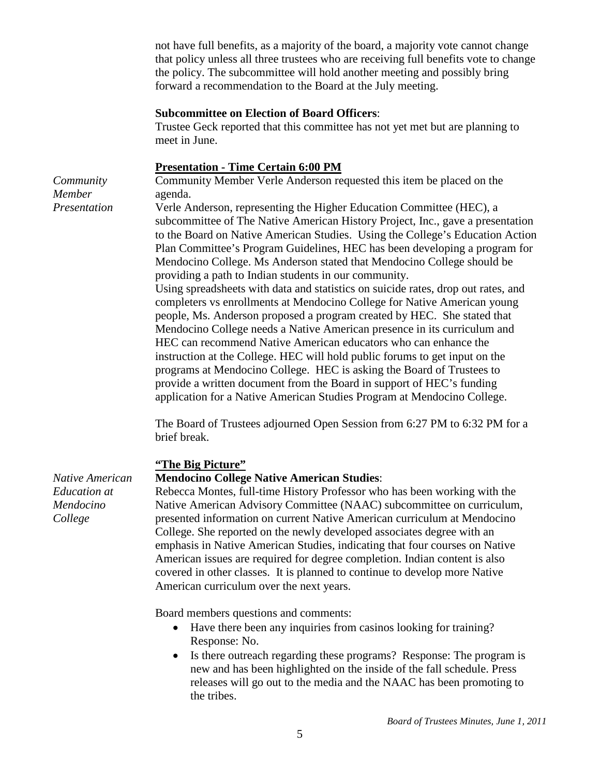not have full benefits, as a majority of the board, a majority vote cannot change that policy unless all three trustees who are receiving full benefits vote to change the policy. The subcommittee will hold another meeting and possibly bring forward a recommendation to the Board at the July meeting.

### **Subcommittee on Election of Board Officers**:

Trustee Geck reported that this committee has not yet met but are planning to meet in June.

#### **Presentation - Time Certain 6:00 PM**

Community Member Verle Anderson requested this item be placed on the agenda.

Verle Anderson, representing the Higher Education Committee (HEC), a subcommittee of The Native American History Project, Inc., gave a presentation to the Board on Native American Studies. Using the College's Education Action Plan Committee's Program Guidelines, HEC has been developing a program for Mendocino College. Ms Anderson stated that Mendocino College should be providing a path to Indian students in our community.

Using spreadsheets with data and statistics on suicide rates, drop out rates, and completers vs enrollments at Mendocino College for Native American young people, Ms. Anderson proposed a program created by HEC. She stated that Mendocino College needs a Native American presence in its curriculum and HEC can recommend Native American educators who can enhance the instruction at the College. HEC will hold public forums to get input on the programs at Mendocino College. HEC is asking the Board of Trustees to provide a written document from the Board in support of HEC's funding application for a Native American Studies Program at Mendocino College.

The Board of Trustees adjourned Open Session from 6:27 PM to 6:32 PM for a brief break.

### **"The Big Picture"**

#### **Mendocino College Native American Studies**:

Rebecca Montes, full-time History Professor who has been working with the Native American Advisory Committee (NAAC) subcommittee on curriculum, presented information on current Native American curriculum at Mendocino College. She reported on the newly developed associates degree with an emphasis in Native American Studies, indicating that four courses on Native American issues are required for degree completion. Indian content is also covered in other classes. It is planned to continue to develop more Native American curriculum over the next years.

Board members questions and comments:

- Have there been any inquiries from casinos looking for training? Response: No.
- Is there outreach regarding these programs? Response: The program is new and has been highlighted on the inside of the fall schedule. Press releases will go out to the media and the NAAC has been promoting to the tribes.

*Native American Education at Mendocino College*

*Community Member Presentation*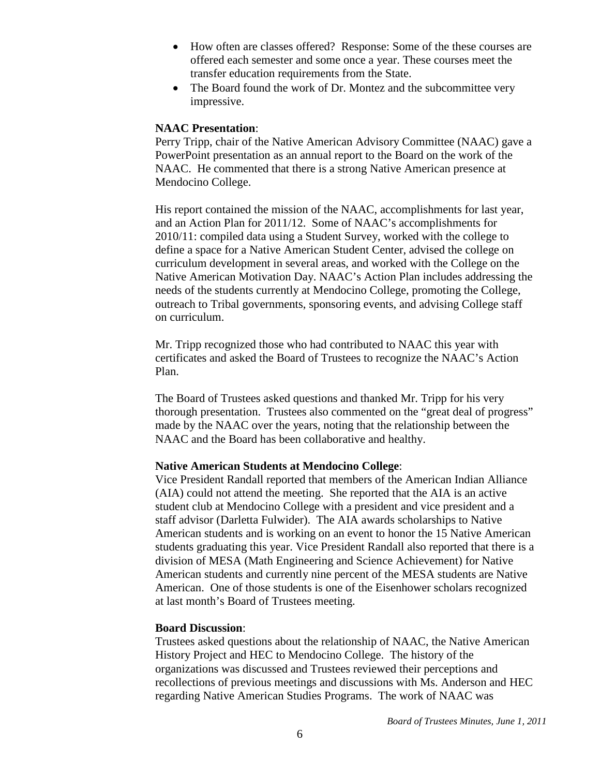- How often are classes offered? Response: Some of the these courses are offered each semester and some once a year. These courses meet the transfer education requirements from the State.
- The Board found the work of Dr. Montez and the subcommittee very impressive.

### **NAAC Presentation**:

Perry Tripp, chair of the Native American Advisory Committee (NAAC) gave a PowerPoint presentation as an annual report to the Board on the work of the NAAC. He commented that there is a strong Native American presence at Mendocino College.

His report contained the mission of the NAAC, accomplishments for last year, and an Action Plan for 2011/12. Some of NAAC's accomplishments for 2010/11: compiled data using a Student Survey, worked with the college to define a space for a Native American Student Center, advised the college on curriculum development in several areas, and worked with the College on the Native American Motivation Day. NAAC's Action Plan includes addressing the needs of the students currently at Mendocino College, promoting the College, outreach to Tribal governments, sponsoring events, and advising College staff on curriculum.

Mr. Tripp recognized those who had contributed to NAAC this year with certificates and asked the Board of Trustees to recognize the NAAC's Action Plan.

The Board of Trustees asked questions and thanked Mr. Tripp for his very thorough presentation. Trustees also commented on the "great deal of progress" made by the NAAC over the years, noting that the relationship between the NAAC and the Board has been collaborative and healthy.

### **Native American Students at Mendocino College**:

Vice President Randall reported that members of the American Indian Alliance (AIA) could not attend the meeting. She reported that the AIA is an active student club at Mendocino College with a president and vice president and a staff advisor (Darletta Fulwider). The AIA awards scholarships to Native American students and is working on an event to honor the 15 Native American students graduating this year. Vice President Randall also reported that there is a division of MESA (Math Engineering and Science Achievement) for Native American students and currently nine percent of the MESA students are Native American. One of those students is one of the Eisenhower scholars recognized at last month's Board of Trustees meeting.

### **Board Discussion**:

Trustees asked questions about the relationship of NAAC, the Native American History Project and HEC to Mendocino College. The history of the organizations was discussed and Trustees reviewed their perceptions and recollections of previous meetings and discussions with Ms. Anderson and HEC regarding Native American Studies Programs. The work of NAAC was